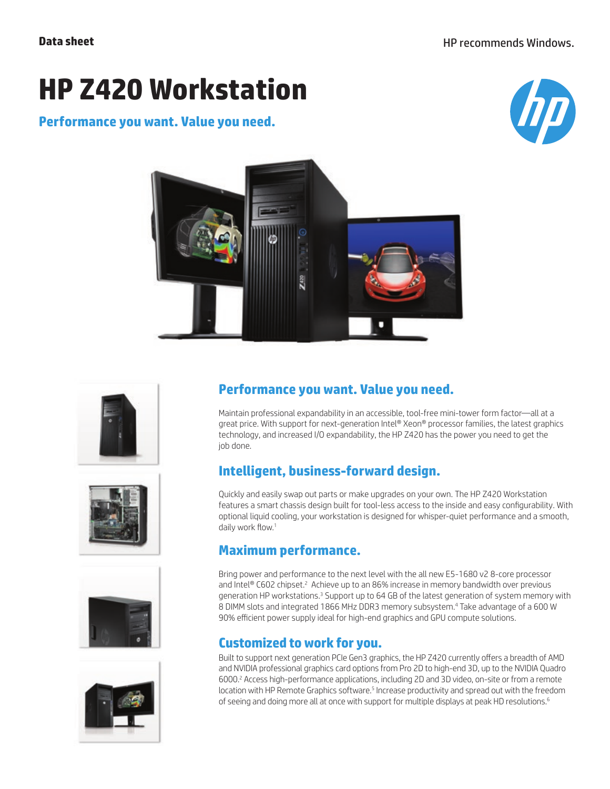# **HP Z420 Workstation**

#### **Performance you want. Value you need.**













## **Performance you want. Value you need.**

Maintain professional expandability in an accessible, tool-free mini-tower form factor—all at a great price. With support for next-generation Intel® Xeon® processor families, the latest graphics technology, and increased I/O expandability, the HP Z420 has the power you need to get the job done.

## **Intelligent, business-forward design.**

Quickly and easily swap out parts or make upgrades on your own. The HP Z420 Workstation features a smart chassis design built for tool-less access to the inside and easy configurability. With optional liquid cooling, your workstation is designed for whisper-quiet performance and a smooth, daily work flow.<sup>1</sup>

#### **Maximum performance.**

Bring power and performance to the next level with the all new E5-1680 v2 8-core processor and Intel® C602 chipset.<sup>2</sup> Achieve up to an 86% increase in memory bandwidth over previous generation HP workstations.<sup>3</sup> Support up to 64 GB of the latest generation of system memory with 8 DIMM slots and integrated 1866 MHz DDR3 memory subsystem.4 Take advantage of a 600 W 90% efficient power supply ideal for high-end graphics and GPU compute solutions.

#### **Customized to work for you.**

Built to support next generation PCIe Gen3 graphics, the HP Z420 currently offers a breadth of AMD and NVIDIA professional graphics card options from Pro 2D to high-end 3D, up to the NVIDIA Quadro 6000.<sup>2</sup> Access high-performance applications, including 2D and 3D video, on-site or from a remote location with HP Remote Graphics software.<sup>5</sup> Increase productivity and spread out with the freedom of seeing and doing more all at once with support for multiple displays at peak HD resolutions.<sup>6</sup>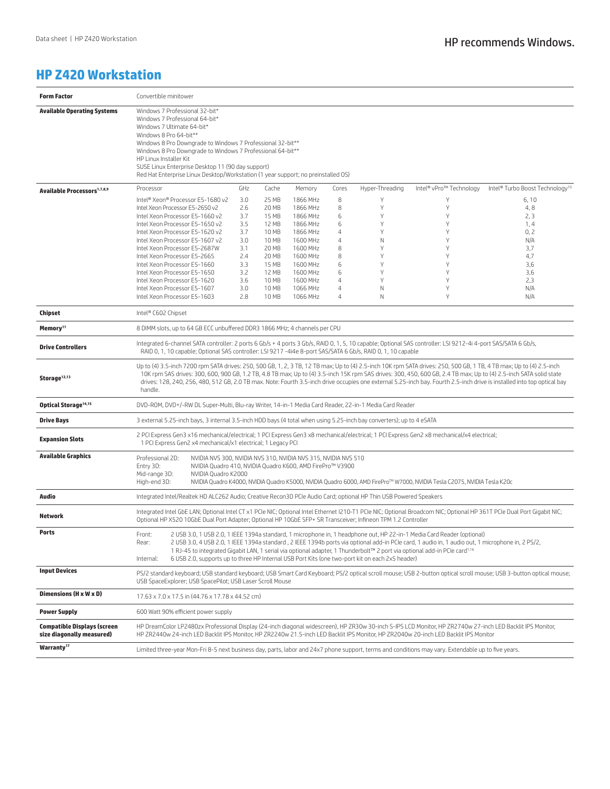#### **HP Z420 Workstation**

| <b>Form Factor</b>                                              | Convertible minitower                                                                                                                                                                                                                                                                                                                                                                                                                                                                                                                                  |            |                |                      |                     |                 |                         |                                             |
|-----------------------------------------------------------------|--------------------------------------------------------------------------------------------------------------------------------------------------------------------------------------------------------------------------------------------------------------------------------------------------------------------------------------------------------------------------------------------------------------------------------------------------------------------------------------------------------------------------------------------------------|------------|----------------|----------------------|---------------------|-----------------|-------------------------|---------------------------------------------|
| <b>Available Operating Systems</b>                              | Windows 7 Professional 32-bit*<br>Windows 7 Professional 64-bit*<br>Windows 7 Ultimate 64-bit*<br>Windows 8 Pro 64-bit**<br>Windows 8 Pro Downgrade to Windows 7 Professional 32-bit**<br>Windows 8 Pro Downgrade to Windows 7 Professional 64-bit**<br>HP Linux Installer Kit<br>SUSE Linux Enterprise Desktop 11 (90 day support)<br>Red Hat Enterprise Linux Desktop/Workstation (1 year support; no preinstalled OS)                                                                                                                               |            |                |                      |                     |                 |                         |                                             |
| <b>Available Processors</b> <sup>1,7,8,9</sup>                  | Processor                                                                                                                                                                                                                                                                                                                                                                                                                                                                                                                                              | GHz        | Cache          | Memory               | Cores               | Hyper-Threading | Intel® vPro™ Technology | Intel® Turbo Boost Technology <sup>10</sup> |
|                                                                 | Intel® Xeon® Processor E5-1680 v2                                                                                                                                                                                                                                                                                                                                                                                                                                                                                                                      | 3.0        | 25 MB          | 1866 MHz             | 8                   | Υ               | Υ                       | 6,10                                        |
|                                                                 | Intel Xeon Processor E5-2650 v2                                                                                                                                                                                                                                                                                                                                                                                                                                                                                                                        | 2.6        | 20 MB          | 1866 MHz             | 8                   | Υ               | Υ                       | 4,8                                         |
|                                                                 | Intel Xeon Processor E5-1660 v2                                                                                                                                                                                                                                                                                                                                                                                                                                                                                                                        | 3.7        | 15 MB          | 1866 MHz             | 6                   | Υ               | Y                       | 2, 3                                        |
|                                                                 | Intel Xeon Processor E5-1650 v2                                                                                                                                                                                                                                                                                                                                                                                                                                                                                                                        | 3.5        | 12 MB          | 1866 MHz             | 6                   | Y               | Y                       | 1,4                                         |
|                                                                 | Intel Xeon Processor E5-1620 v2                                                                                                                                                                                                                                                                                                                                                                                                                                                                                                                        | 3.7        | 10 MB          | 1866 MHz             | 4                   | Y               | Y                       | 0, 2                                        |
|                                                                 | Intel Xeon Processor E5-1607 v2                                                                                                                                                                                                                                                                                                                                                                                                                                                                                                                        | 3.0        | 10 MB          | 1600 MHz             | 4                   | N               | Υ                       | N/A                                         |
|                                                                 | Intel Xeon Processor E5-2687W                                                                                                                                                                                                                                                                                                                                                                                                                                                                                                                          | 3.1        | 20 MB          | 1600 MHz             | 8                   | Y               | Y                       | 3,7                                         |
|                                                                 | Intel Xeon Processor E5-2665                                                                                                                                                                                                                                                                                                                                                                                                                                                                                                                           | 2.4        | 20 MB          | 1600 MHz             | 8                   | Y               | Y                       | 4,7                                         |
|                                                                 | Intel Xeon Processor E5-1660                                                                                                                                                                                                                                                                                                                                                                                                                                                                                                                           | 3.3        | 15 MB          | 1600 MHz             | 6                   | Y<br>Y          | Y<br>Y                  | 3,6                                         |
|                                                                 | Intel Xeon Processor E5-1650                                                                                                                                                                                                                                                                                                                                                                                                                                                                                                                           | 3.2        | 12 MB          | 1600 MHz             | 6<br>$\overline{4}$ | Y               | Y                       | 3.6<br>2,3                                  |
|                                                                 | Intel Xeon Processor E5-1620<br>Intel Xeon Processor E5-1607                                                                                                                                                                                                                                                                                                                                                                                                                                                                                           | 3.6<br>3.0 | 10 MB<br>10 MB | 1600 MHz<br>1066 MHz | 4                   | Ν               | Y                       | N/A                                         |
|                                                                 | Intel Xeon Processor E5-1603                                                                                                                                                                                                                                                                                                                                                                                                                                                                                                                           | 2.8        | 10 MB          | 1066 MHz             | $\overline{4}$      | Ν               | Y                       | N/A                                         |
|                                                                 |                                                                                                                                                                                                                                                                                                                                                                                                                                                                                                                                                        |            |                |                      |                     |                 |                         |                                             |
| Chipset                                                         | Intel® C602 Chipset                                                                                                                                                                                                                                                                                                                                                                                                                                                                                                                                    |            |                |                      |                     |                 |                         |                                             |
| Memory <sup>11</sup>                                            | 8 DIMM slots, up to 64 GB ECC unbuffered DDR3 1866 MHz; 4 channels per CPU                                                                                                                                                                                                                                                                                                                                                                                                                                                                             |            |                |                      |                     |                 |                         |                                             |
| <b>Drive Controllers</b>                                        | Integrated 6-channel SATA controller: 2 ports 6 Gb/s + 4 ports 3 Gb/s, RAID 0, 1, 5, 10 capable; Optional SAS controller: LSI 9212-4i 4-port SAS/SATA 6 Gb/s,<br>RAID 0, 1, 10 capable; Optional SAS controller: LSI 9217 -4i4e 8-port SAS/SATA 6 Gb/s, RAID 0, 1, 10 capable                                                                                                                                                                                                                                                                          |            |                |                      |                     |                 |                         |                                             |
| Storage <sup>12,13</sup>                                        | Up to (4) 3.5-inch 7200 rpm SATA drives: 250, 500 GB, 1, 2, 3 TB, 12 TB max; Up to (4) 2.5-inch 10K rpm SATA drives: 250, 500 GB, 1 TB, 4 TB max; Up to (4) 2.5-inch<br>10K rpm SAS drives: 300, 600, 900 GB, 1.2 TB, 4.8 TB max; Up to (4) 3.5-inch 15K rpm SAS drives: 300, 450, 600 GB, 2.4 TB max; Up to (4) 2.5-inch SATA solid state<br>drives: 128, 240, 256, 480, 512 GB, 2.0 TB max. Note: Fourth 3.5-inch drive occupies one external 5.25-inch bay. Fourth 2.5-inch drive is installed into top optical bay<br>handle.                      |            |                |                      |                     |                 |                         |                                             |
| Optical Storage <sup>14,15</sup>                                | DVD-ROM, DVD+/-RW DL Super-Multi, Blu-ray Writer, 14-in-1 Media Card Reader, 22-in-1 Media Card Reader                                                                                                                                                                                                                                                                                                                                                                                                                                                 |            |                |                      |                     |                 |                         |                                             |
| <b>Drive Bays</b>                                               | 3 external 5.25-inch bays, 3 internal 3.5-inch HDD bays (4 total when using 5.25-inch bay converters); up to 4 eSATA                                                                                                                                                                                                                                                                                                                                                                                                                                   |            |                |                      |                     |                 |                         |                                             |
| <b>Expansion Slots</b>                                          | 2 PCI Express Gen3 x16 mechanical/electrical; 1 PCI Express Gen3 x8 mechanical/electrical; 1 PCI Express Gen2 x8 mechanical/x4 electrical;<br>1 PCI Express Gen2 x4 mechanical/x1 electrical; 1 Legacy PCI                                                                                                                                                                                                                                                                                                                                             |            |                |                      |                     |                 |                         |                                             |
| <b>Available Graphics</b>                                       | Professional 2D:<br>NVIDIA NVS 300, NVIDIA NVS 310, NVIDIA NVS 315, NVIDIA NVS 510<br>Entry 3D:<br>NVIDIA Quadro 410, NVIDIA Quadro K600, AMD FirePro™ V3900<br>Mid-range 3D:<br>NVIDIA Quadro K2000<br>High-end 3D:<br>NVIDIA Quadro K4000, NVIDIA Quadro K5000, NVIDIA Quadro 6000, AMD FirePro™ W7000, NVIDIA Tesla C2075, NVIDIA Tesla K20c                                                                                                                                                                                                        |            |                |                      |                     |                 |                         |                                             |
| Audio                                                           | Integrated Intel/Realtek HD ALC262 Audio; Creative Recon3D PCIe Audio Card; optional HP Thin USB Powered Speakers                                                                                                                                                                                                                                                                                                                                                                                                                                      |            |                |                      |                     |                 |                         |                                             |
| Network                                                         | Integrated Intel GbE LAN; Optional Intel CT x1 PCIe NIC; Optional Intel Ethernet I210-T1 PCIe NIC; Optional Broadcom NIC; Optional HP 361T PCIe Dual Port Gigabit NIC;<br>Optional HP X520 10GbE Dual Port Adapter; Optional HP 10GbE SFP+ SR Transceiver; Infineon TPM 1.2 Controller                                                                                                                                                                                                                                                                 |            |                |                      |                     |                 |                         |                                             |
| <b>Ports</b>                                                    | Front:<br>2 USB 3.0, 1 USB 2.0, 1 IEEE 1394a standard, 1 microphone in, 1 headphone out, HP 22-in-1 Media Card Reader (optional)<br>2 USB 3.0, 4 USB 2.0, 1 IEEE 1394a standard, 2 IEEE 1394b ports via optional add-in PCIe card, 1 audio in, 1 audio out, 1 microphone in, 2 PS/2,<br>Rear:<br>1 RJ-45 to integrated Gigabit LAN, 1 serial via optional adapter, 1 Thunderbolt™ 2 port via optional add-in PCIe card <sup>1,16</sup><br>6 USB 2.0, supports up to three HP Internal USB Port Kits (one two-port kit on each 2x5 header)<br>Internal: |            |                |                      |                     |                 |                         |                                             |
| <b>Input Devices</b>                                            | PS/2 standard keyboard; USB standard keyboard; USB Smart Card Keyboard; PS/2 optical scroll mouse; USB 2-button optical scroll mouse; USB 3-button optical mouse;<br>USB SpaceExplorer; USB SpacePilot; USB Laser Scroll Mouse                                                                                                                                                                                                                                                                                                                         |            |                |                      |                     |                 |                         |                                             |
| Dimensions (H x W x D)                                          | 17.63 x 7.0 x 17.5 in (44.76 x 17.78 x 44.52 cm)                                                                                                                                                                                                                                                                                                                                                                                                                                                                                                       |            |                |                      |                     |                 |                         |                                             |
| <b>Power Supply</b>                                             | 600 Watt 90% efficient power supply                                                                                                                                                                                                                                                                                                                                                                                                                                                                                                                    |            |                |                      |                     |                 |                         |                                             |
| <b>Compatible Displays (screen</b><br>size diagonally measured) | HP DreamColor LP2480zx Professional Display (24-inch diagonal widescreen), HP ZR30w 30-inch S-IPS LCD Monitor, HP ZR2740w 27-inch LED Backlit IPS Monitor,<br>HP ZR2440w 24-inch LED Backlit IPS Monitor, HP ZR2240w 21.5-inch LED Backlit IPS Monitor, HP ZR2040w 20-inch LED Backlit IPS Monitor                                                                                                                                                                                                                                                     |            |                |                      |                     |                 |                         |                                             |
| Warranty <sup>17</sup>                                          | Limited three-year Mon-Fri 8-5 next business day, parts, labor and 24x7 phone support, terms and conditions may vary. Extendable up to five years.                                                                                                                                                                                                                                                                                                                                                                                                     |            |                |                      |                     |                 |                         |                                             |